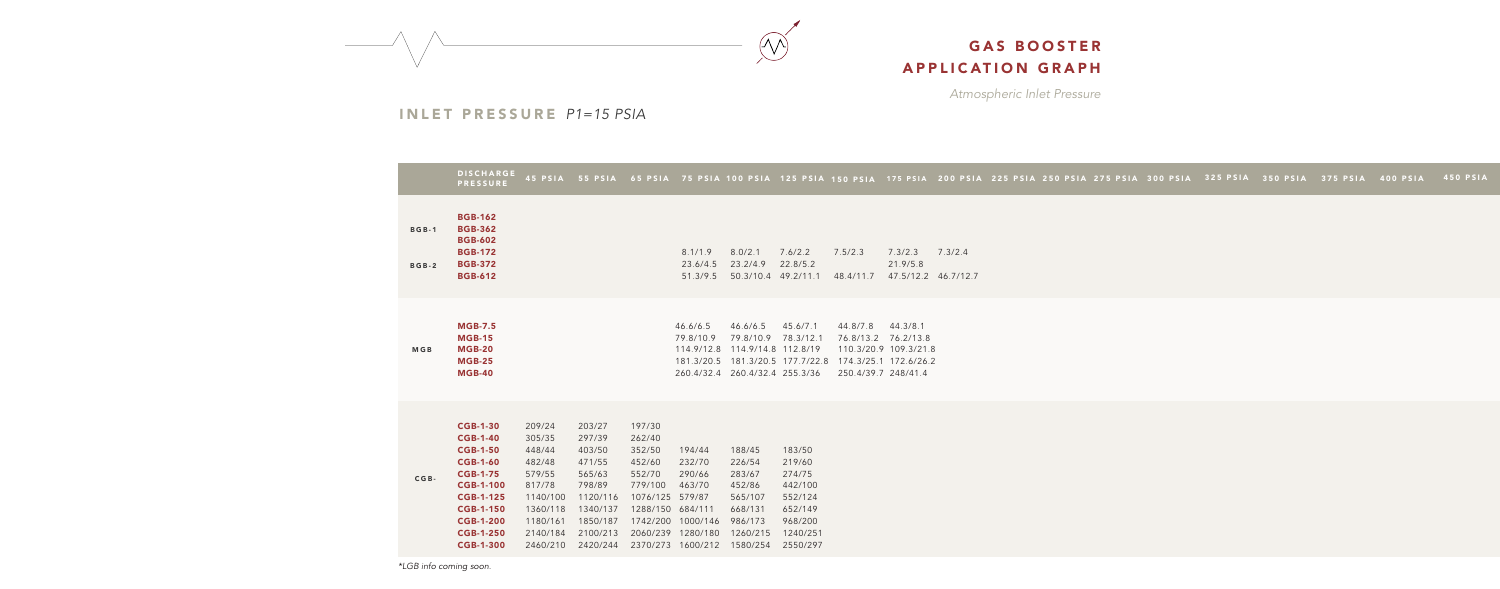*Atmospheric Inlet Pressure*

45 PSIA 55 PSIA 65 PSIA 75 PSIA 100 PSIA 125 PSIA 150 PSIA 175 PSIA 200 PSIA 225 PSIA 275 PSIA 300 PSIA 325 PSIA 350 PSIA 375 PSIA 400 PSIA 450 PSIA



#### INLET PRESSURE *P1=15 PSIA*

|                              | <b>DISCHARGE</b><br><b>PRESSURE</b>                                                                                                                                                                                 | 45 PSIA                                                                                                              | <b>55 PSIA</b>                                                                                                       | 65 PSIA                                                                                                               |                                                                                               | 75 PSIA 100 PSIA 125 PSIA 150 PS                                                              |                                                                                                |                                             |
|------------------------------|---------------------------------------------------------------------------------------------------------------------------------------------------------------------------------------------------------------------|----------------------------------------------------------------------------------------------------------------------|----------------------------------------------------------------------------------------------------------------------|-----------------------------------------------------------------------------------------------------------------------|-----------------------------------------------------------------------------------------------|-----------------------------------------------------------------------------------------------|------------------------------------------------------------------------------------------------|---------------------------------------------|
| <b>BGB-1</b><br><b>BGB-2</b> | <b>BGB-162</b><br><b>BGB-362</b><br><b>BGB-602</b><br><b>BGB-172</b><br><b>BGB-372</b><br><b>BGB-612</b>                                                                                                            |                                                                                                                      |                                                                                                                      |                                                                                                                       | 8.1/1.9<br>23.6/4.5<br>51.3/9.5                                                               | 8.0/2.1<br>23.2/4.9<br>50.3/10.4 49.2/11.1                                                    | 7.6/2.2<br>22.8/5.2                                                                            | 7.5/2.3<br>48.4/1                           |
| <b>MGB</b>                   | <b>MGB-7.5</b><br><b>MGB-15</b><br><b>MGB-20</b><br><b>MGB-25</b><br><b>MGB-40</b>                                                                                                                                  |                                                                                                                      |                                                                                                                      |                                                                                                                       | 46.6/6.5<br>79.8/10.9<br>114.9/12.8<br>181.3/20.5<br>260.4/32.4                               | 46.6/6.5<br>79.8/10.9<br>114.9/14.8 112.8/19<br>260.4/32.4 255.3/36                           | 45.6/7.1<br>78.3/12.1<br>181.3/20.5 177.7/22.8                                                 | 44.8/7<br>76.8/1<br>110.3<br>174.3<br>250.4 |
| $CGB -$                      | <b>CGB-1-30</b><br><b>CGB-1-40</b><br><b>CGB-1-50</b><br><b>CGB-1-60</b><br><b>CGB-1-75</b><br><b>CGB-1-100</b><br><b>CGB-1-125</b><br><b>CGB-1-150</b><br><b>CGB-1-200</b><br><b>CGB-1-250</b><br><b>CGB-1-300</b> | 209/24<br>305/35<br>448/44<br>482/48<br>579/55<br>817/78<br>1140/100<br>1360/118<br>1180/161<br>2140/184<br>2460/210 | 203/27<br>297/39<br>403/50<br>471/55<br>565/63<br>798/89<br>1120/116<br>1340/137<br>1850/187<br>2100/213<br>2420/244 | 197/30<br>262/40<br>352/50<br>452/60<br>552/70<br>779/100<br>1076/125<br>1288/150<br>1742/200<br>2060/239<br>2370/273 | 194/44<br>232/70<br>290/66<br>463/70<br>579/87<br>684/111<br>1000/146<br>1280/180<br>1600/212 | 188/45<br>226/54<br>283/67<br>452/86<br>565/107<br>668/131<br>986/173<br>1260/215<br>1580/254 | 183/50<br>219/60<br>274/75<br>442/100<br>552/124<br>652/149<br>968/200<br>1240/251<br>2550/297 |                                             |

48.4/11.7 47.5/12.2 46.7/12.7 7.3/2.3 7.3/2.4 21.9/5.8

44.8/7.8 44.3/8.1 76.8/13.2 76.2/13.8 110.3/20.9 109.3/21.8 174.3/25.1 172.6/26.2 250.4/39.7 248/41.4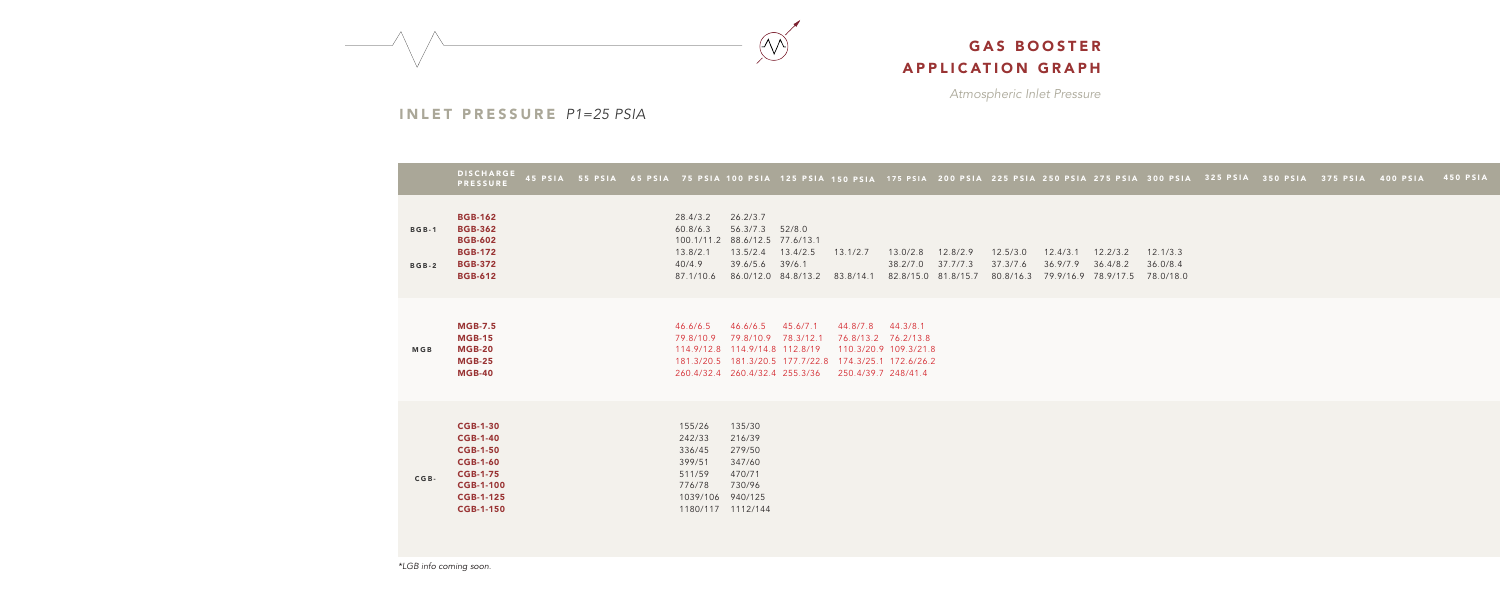*Atmospheric Inlet Pressure*



### INLET PRESSURE *P1=25 PSIA*

|                              | <b>DISCHARGE</b><br><b>PRESSURE</b>                                                                                                                     | 45 PSIA | <b>55 PSIA</b> |                                                                                  | 65 PSIA 75 PSIA 100 PSIA 125 PSIA 150 PSIA 175 PSIA 200 PSIA 225 PSIA 250 PSIA 275 PSIA 300 PSIA                               |                              |                                 |                                                                                   |                      |                                   |                                             |                      |                                   |
|------------------------------|---------------------------------------------------------------------------------------------------------------------------------------------------------|---------|----------------|----------------------------------------------------------------------------------|--------------------------------------------------------------------------------------------------------------------------------|------------------------------|---------------------------------|-----------------------------------------------------------------------------------|----------------------|-----------------------------------|---------------------------------------------|----------------------|-----------------------------------|
| <b>BGB-1</b><br><b>BGB-2</b> | <b>BGB-162</b><br><b>BGB-362</b><br><b>BGB-602</b><br><b>BGB-172</b><br><b>BGB-372</b><br><b>BGB-612</b>                                                |         |                | 28.4/3.2<br>60.8/6.3<br>100.1/11.2<br>13.8/2.1<br>40/4.9<br>87.1/10.6            | 26.2/3.7<br>56.3/7.3<br>88.6/12.5 77.6/13.1<br>13.5/2.4<br>39.6/5.6<br>86.0/12.0 84.8/13.2                                     | 52/8.0<br>13.4/2.5<br>39/6.1 | 13.1/2.7<br>83.8/14.1           | 13.0/2.8<br>38.2/7.0<br>82.8/15.0 81.8/15.7                                       | 12.8/2.9<br>37.7/7.3 | 12.5/3.0<br>37.3/7.6<br>80.8/16.3 | 12.4/3.1<br>36.9/7.9<br>79.9/16.9 78.9/17.5 | 12.2/3.2<br>36.4/8.2 | 12.1/3.3<br>36.0/8.4<br>78.0/18.0 |
| <b>MGB</b>                   | <b>MGB-7.5</b><br><b>MGB-15</b><br><b>MGB-20</b><br><b>MGB-25</b><br><b>MGB-40</b>                                                                      |         |                | 46.6/6.5<br>79.8/10.9<br>114.9/12.8                                              | 46.6/6.5<br>79.8/10.9 78.3/12.1<br>114.9/14.8 112.8/19<br>181.3/20.5  181.3/20.5  177.7/22.8<br>260.4/32.4 260.4/32.4 255.3/36 | 45.6/7.1                     | 44.8/7.8<br>250.4/39.7 248/41.4 | 44.3/8.1<br>76.8/13.2 76.2/13.8<br>110.3/20.9 109.3/21.8<br>174.3/25.1 172.6/26.2 |                      |                                   |                                             |                      |                                   |
| $CGB -$                      | <b>CGB-1-30</b><br><b>CGB-1-40</b><br><b>CGB-1-50</b><br><b>CGB-1-60</b><br><b>CGB-1-75</b><br><b>CGB-1-100</b><br><b>CGB-1-125</b><br><b>CGB-1-150</b> |         |                | 155/26<br>242/33<br>336/45<br>399/51<br>511/59<br>776/78<br>1039/106<br>1180/117 | 135/30<br>216/39<br>279/50<br>347/60<br>470/71<br>730/96<br>940/125<br>1112/144                                                |                              |                                 |                                                                                   |                      |                                   |                                             |                      |                                   |

*\*LGB info coming soon.*

225 PSIA 250 PSIA 275 PSIA 300 PSIA 325 PSIA 350 PSIA 375 PSIA 400 PSIA 450 PSIA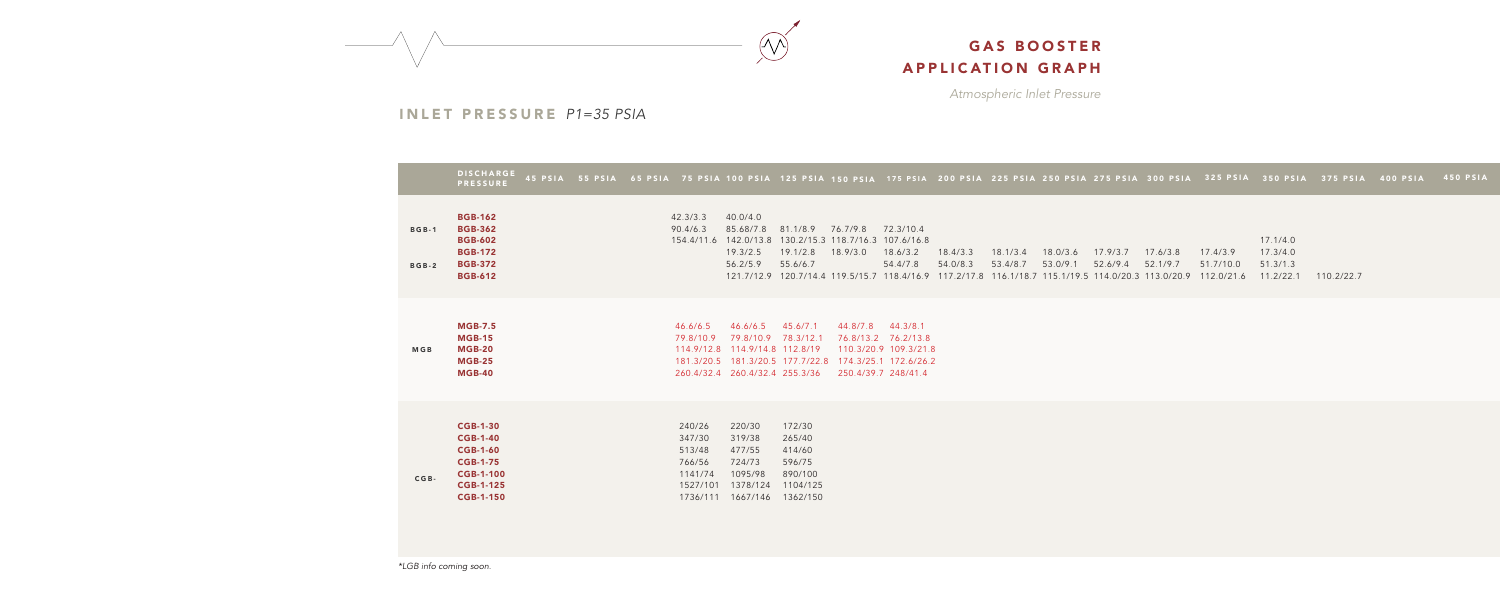*Atmospheric Inlet Pressure*



### INLET PRESSURE *P1=35 PSIA*

|                              | <b>DISCHARGE</b><br><b>PRESSURE</b>                                                                                                  |  |                                                                         |                                                                                                                                                                   |                                                                         |                      |                                                                                 |                      |                      |                      |                      |                                                                                                                                       |                       | 45 PSIA 55 PSIA 65 PSIA 75 PSIA 100 PSIA 125 PSIA 150 PSIA 175 PSIA 200 PSIA 225 PSIA 250 PSIA 275 PSIA 300 PSIA 325 PSIA 350 PSIA 375 PSI |            |
|------------------------------|--------------------------------------------------------------------------------------------------------------------------------------|--|-------------------------------------------------------------------------|-------------------------------------------------------------------------------------------------------------------------------------------------------------------|-------------------------------------------------------------------------|----------------------|---------------------------------------------------------------------------------|----------------------|----------------------|----------------------|----------------------|---------------------------------------------------------------------------------------------------------------------------------------|-----------------------|--------------------------------------------------------------------------------------------------------------------------------------------|------------|
| <b>BGB-1</b><br><b>BGB-2</b> | <b>BGB-162</b><br><b>BGB-362</b><br><b>BGB-602</b><br><b>BGB-172</b><br><b>BGB-372</b><br><b>BGB-612</b>                             |  | 42.3/3.3<br>90.4/6.3                                                    | 40.0/4.0<br>85.68/7.8<br>154.4/11.6 142.0/13.8<br>19.3/2.5<br>56.2/5.9                                                                                            | 81.1/8.9<br>130.2/15.3 118.7/16.3 107.6/16.8<br>19.1/2.8<br>55.6/6.7    | 76.7/9.8<br>18.9/3.0 | 72.3/10.4<br>18.6/3.2<br>54.4/7.8                                               | 18.4/3.3<br>54.0/8.3 | 18.1/3.4<br>53.4/8.7 | 18.0/3.6<br>53.0/9.1 | 17.9/3.7<br>52.6/9.4 | 17.6/3.8<br>52.1/9.7<br>121.7/12.9 120.7/14.4 119.5/15.7 118.4/16.9 117.2/17.8 116.1/18.7 115.1/19.5 114.0/20.3 113.0/20.9 112.0/21.6 | 17.4/3.9<br>51.7/10.0 | 17.1/4.0<br>17.3/4.0<br>51.3/1.3<br>11.2/22.1                                                                                              | 110.2/22.7 |
| <b>MGB</b>                   | <b>MGB-7.5</b><br><b>MGB-15</b><br><b>MGB-20</b><br><b>MGB-25</b><br><b>MGB-40</b>                                                   |  | 46.6/6.5<br>79.8/10.9                                                   | 46.6/6.5<br>79.8/10.9 78.3/12.1<br>114.9/12.8 114.9/14.8 112.8/19<br>181.3/20.5  181.3/20.5  177.7/22.8  174.3/25.1  172.6/26.2<br>260.4/32.4 260.4/32.4 255.3/36 | 45.6/7.1                                                                | 44.8/7.8             | 44.3/8.1<br>76.8/13.2 76.2/13.8<br>110.3/20.9 109.3/21.8<br>250.4/39.7 248/41.4 |                      |                      |                      |                      |                                                                                                                                       |                       |                                                                                                                                            |            |
| $CGB -$                      | <b>CGB-1-30</b><br><b>CGB-1-40</b><br><b>CGB-1-60</b><br><b>CGB-1-75</b><br><b>CGB-1-100</b><br><b>CGB-1-125</b><br><b>CGB-1-150</b> |  | 240/26<br>347/30<br>513/48<br>766/56<br>1141/74<br>1527/101<br>1736/111 | 220/30<br>319/38<br>477/55<br>724/73<br>1095/98<br>1378/124<br>1667/146                                                                                           | 172/30<br>265/40<br>414/60<br>596/75<br>890/100<br>1104/125<br>1362/150 |                      |                                                                                 |                      |                      |                      |                      |                                                                                                                                       |                       |                                                                                                                                            |            |

225 PSIA 250 PSIA 275 PSIA 300 PSIA 325 PSIA 350 PSIA 375 PSIA 400 PSIA 450 PSIA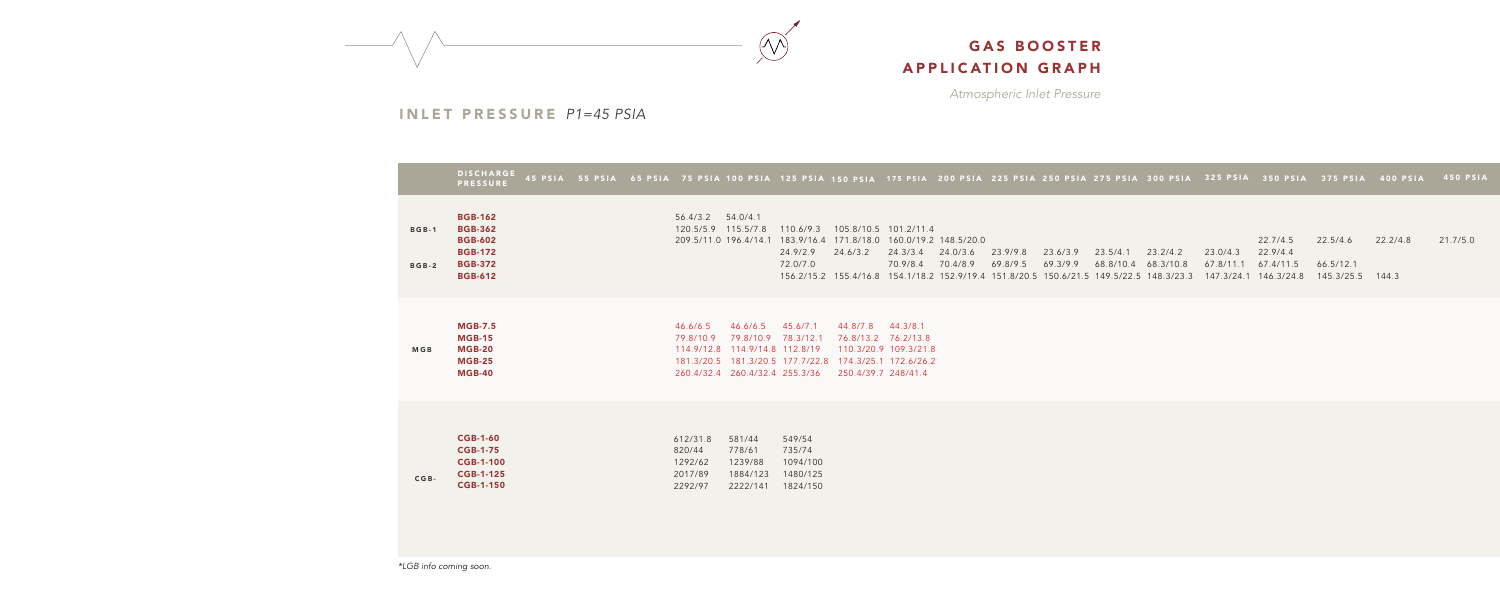*Atmospheric Inlet Pressure*



### INLET PRESSURE *P1=45 PSIA*

|                              | <b>DISCHARGE</b><br><b>PRESSURE</b>                                                                      |                                                                                                            |                                                                                                       |                                                                                          | 45 PSIA 55 PSIA 65 PSIA 75 PSIA 100 PSIA 125 PSIA 150 PSIA 175 PSIA 200 PSIA 225 PSIA 250 PSIA 275 PSIA 300 PSIA 325 PSIA 350 PSIA 375 PSIA 400 PSIA                      |                                                          |                                                                                | 450 PSIA             |
|------------------------------|----------------------------------------------------------------------------------------------------------|------------------------------------------------------------------------------------------------------------|-------------------------------------------------------------------------------------------------------|------------------------------------------------------------------------------------------|---------------------------------------------------------------------------------------------------------------------------------------------------------------------------|----------------------------------------------------------|--------------------------------------------------------------------------------|----------------------|
| <b>BGB-1</b><br><b>BGB-2</b> | <b>BGB-162</b><br><b>BGB-362</b><br><b>BGB-602</b><br><b>BGB-172</b><br><b>BGB-372</b><br><b>BGB-612</b> | 56.4/3.2 54.0/4.1<br>120.5/5.9  115.5/7.8  110.6/9.3                                                       | 209.5/11.0 196.4/14.1 183.9/16.4 171.8/18.0 160.0/19.2 148.5/20.0<br>24.9/2.9<br>24.6/3.2<br>72.0/7.0 | 105.8/10.5 101.2/11.4<br>24.3/3.4<br>24.0/3.6<br>70.4/8.9<br>70.9/8.4                    | 23.9/9.8<br>23.6/3.9<br>23.5/4.1<br>69.8/9.5<br>69.3/9.9<br>156.2/15.2 155.4/16.8 154.1/18.2 152.9/19.4 151.8/20.5 150.6/21.5 149.5/22.5 148.3/23.3 147.3/24.1 146.3/24.8 | 23.2/4.2<br>23.0/4.3<br>68.8/10.4 68.3/10.8<br>67.8/11.1 | 22.7/4.5<br>22.5/4.6<br>22.9/4.4<br>67.4/11.5<br>66.5/12.1<br>145.3/25.5 144.3 | 22.2/4.8<br>21.7/5.0 |
| <b>MGB</b>                   | <b>MGB-7.5</b><br><b>MGB-15</b><br><b>MGB-20</b><br><b>MGB-25</b><br><b>MGB-40</b>                       | 46.6/6.5<br>46.6/6.5<br>79.8/10.9<br>114.9/12.8 114.9/14.8 112.8/19<br>260.4/32.4 260.4/32.4 255.3/36      | 45.6/7.1<br>79.8/10.9 78.3/12.1<br>181.3/20.5  181.3/20.5  177.7/22.8  174.3/25.1  172.6/26.2         | 44.8/7.8 44.3/8.1<br>76.8/13.2 76.2/13.8<br>110.3/20.9 109.3/21.8<br>250.4/39.7 248/41.4 |                                                                                                                                                                           |                                                          |                                                                                |                      |
| $CGB -$                      | <b>CGB-1-60</b><br><b>CGB-1-75</b><br><b>CGB-1-100</b><br><b>CGB-1-125</b><br><b>CGB-1-150</b>           | 612/31.8<br>581/44<br>820/44<br>778/61<br>1239/88<br>1292/62<br>2017/89<br>1884/123<br>2292/97<br>2222/141 | 549/54<br>735/74<br>1094/100<br>1480/125<br>1824/150                                                  |                                                                                          |                                                                                                                                                                           |                                                          |                                                                                |                      |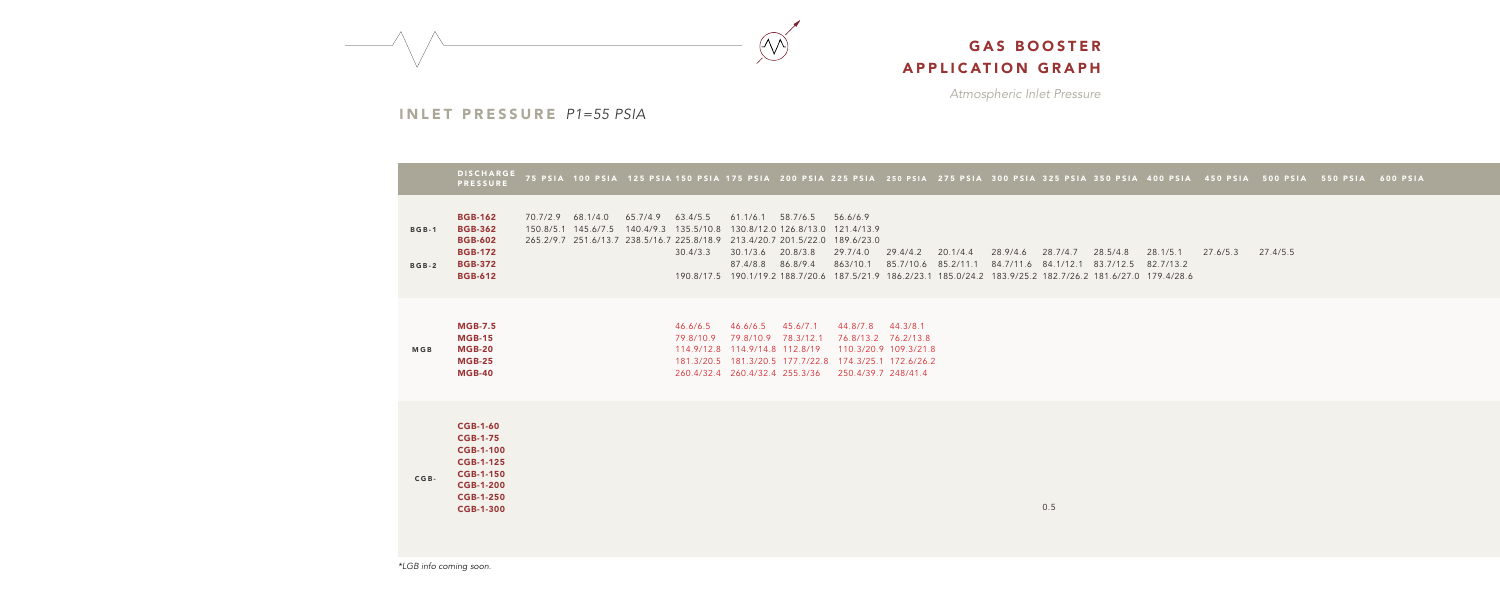*Atmospheric Inlet Pressure*



INLET PRESSURE *P1=55 PSIA*

|                              | <b>DISCHARGE</b><br><b>PRESSURE</b>                                                                                                                        |                   |                   |                                                      |                                                                                |                                 |                                                                                                                                                     |                                              |                                                                                                                                                  |          |          |                                                     |          | 75 PSIA 100 PSIA 125 PSIA 150 PSIA 175 PSIA 200 PSIA 225 PSIA 250 PSIA 275 PSIA 300 PSIA 325 PSIA 350 PSIA 400 PSIA 450 PSIA 500 PS |          |
|------------------------------|------------------------------------------------------------------------------------------------------------------------------------------------------------|-------------------|-------------------|------------------------------------------------------|--------------------------------------------------------------------------------|---------------------------------|-----------------------------------------------------------------------------------------------------------------------------------------------------|----------------------------------------------|--------------------------------------------------------------------------------------------------------------------------------------------------|----------|----------|-----------------------------------------------------|----------|-------------------------------------------------------------------------------------------------------------------------------------|----------|
| <b>BGB-1</b><br><b>BGB-2</b> | <b>BGB-162</b><br><b>BGB-362</b><br><b>BGB-602</b><br><b>BGB-172</b><br><b>BGB-372</b><br><b>BGB-612</b>                                                   | 70.7/2.9 68.1/4.0 | 65.7/4.9 63.4/5.5 | 150.8/5.1 145.6/7.5 140.4/9.3 135.5/10.8<br>30.4/3.3 | $61.1/6.1$ 58.7/6.5<br>30.1/3.6 20.8/3.8<br>87.4/8.8 86.8/9.4                  |                                 | 56.6/6.9<br>130.8/12.0 126.8/13.0 121.4/13.9<br>265.2/9.7 251.6/13.7 238.5/16.7 225.8/18.9 213.4/20.7 201.5/22.0 189.6/23.0<br>29.7/4.0<br>863/10.1 | 29.4/4.2                                     | 20.1/4.4<br>85.7/10.6 85.2/11.1<br>190.8/17.5 190.1/19.2 188.7/20.6 187.5/21.9 186.2/23.1 185.0/24.2 183.9/25.2 182.7/26.2 181.6/27.0 179.4/28.6 | 28.9/4.6 | 28.7/4.7 | 28.5/4.8<br>84.7/11.6 84.1/12.1 83.7/12.5 82.7/13.2 | 28.1/5.1 | 27.6/5.3                                                                                                                            | 27.4/5.5 |
| <b>MGB</b>                   | <b>MGB-7.5</b><br><b>MGB-15</b><br><b>MGB-20</b><br>$MGB-25$<br><b>MGB-40</b>                                                                              |                   |                   | 46.6/6.5<br>79.8/10.9                                | 46.6/6.5<br>114.9/12.8  114.9/14.8  112.8/19<br>260.4/32.4 260.4/32.4 255.3/36 | 45.6/7.1<br>79.8/10.9 78.3/12.1 | 44.8/7.8 44.3/8.1<br>181.3/20.5  181.3/20.5  177.7/22.8  174.3/25.1  172.6/26.2<br>250.4/39.7 248/41.4                                              | 76.8/13.2 76.2/13.8<br>110.3/20.9 109.3/21.8 |                                                                                                                                                  |          |          |                                                     |          |                                                                                                                                     |          |
| $CGB -$                      | <b>CGB-1-60</b><br><b>CGB-1-75</b><br><b>CGB-1-100</b><br><b>CGB-1-125</b><br><b>CGB-1-150</b><br><b>CGB-1-200</b><br><b>CGB-1-250</b><br><b>CGB-1-300</b> |                   |                   |                                                      |                                                                                |                                 |                                                                                                                                                     |                                              |                                                                                                                                                  |          | 0.5      |                                                     |          |                                                                                                                                     |          |

*\*LGB info coming soon.*

300 PSIA 325 PSIA 350 PSIA 400 PSIA 450 PSIA 500 PSIA 550 PSIA 600 PSIA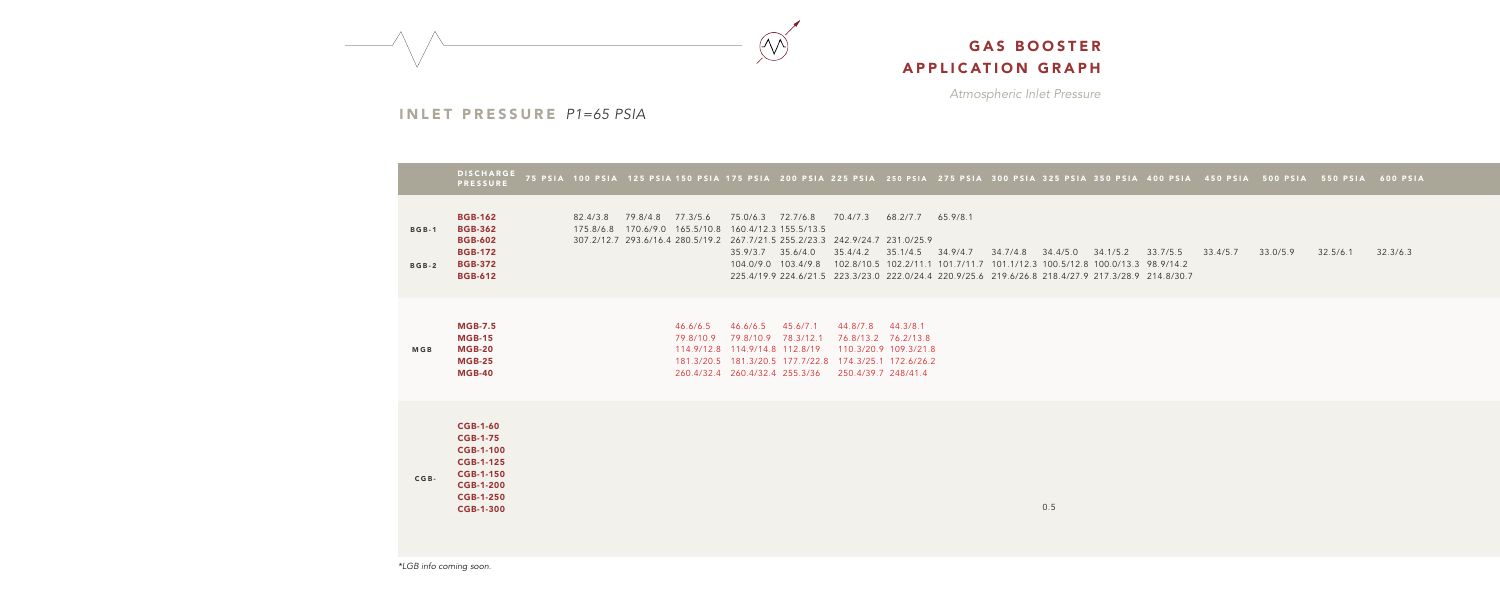*Atmospheric Inlet Pressure*



#### INLET PRESSURE *P1=65 PSIA*

|                              | <b>DISCHARGE</b><br><b>PRESSURE</b>                                                                                                                        | 75 PSIA 100 PSIA 125 PSIA 150 PSIA 175 PSIA 200 PSIA 225 PS |                                                                                                                                              |                                                                                                                                                     |                                                                          |                                            |
|------------------------------|------------------------------------------------------------------------------------------------------------------------------------------------------------|-------------------------------------------------------------|----------------------------------------------------------------------------------------------------------------------------------------------|-----------------------------------------------------------------------------------------------------------------------------------------------------|--------------------------------------------------------------------------|--------------------------------------------|
| <b>BGB-1</b><br><b>BGB-2</b> | <b>BGB-162</b><br><b>BGB-362</b><br><b>BGB-602</b><br><b>BGB-172</b><br><b>BGB-372</b><br><b>BGB-612</b>                                                   |                                                             | 82.4/3.8 79.8/4.8 77.3/5.6 75.0/6.3 72.7/6.8<br>175.8/6.8  170.6/9.0  165.5/10.8  160.4/12.3  155.5/13.5<br>307.2/12.7 293.6/16.4 280.5/19.2 | 35.9/3.7<br>104.0/9.0 103.4/9.8                                                                                                                     | 267.7/21.5 255.2/23.3 242.9/<br>35.6/4.0<br>225.4/19.9 224.6/21.5 223.3/ | 70.4/7<br>35.4/4<br>102.8/                 |
| <b>MGB</b>                   | <b>MGB-7.5</b><br><b>MGB-15</b><br><b>MGB-20</b><br><b>MGB-25</b><br><b>MGB-40</b>                                                                         |                                                             | 79.8/10.9                                                                                                                                    | 46.6/6.5 46.6/6.5 45.6/7.1<br>79.8/10.9<br>114.9/12.8  114.9/14.8  112.8/19<br>181.3/20.5  181.3/20.5  177.7/22.8<br>260.4/32.4 260.4/32.4 255.3/36 | 78.3/12.1                                                                | 44.8/7<br>76.8/<br>110.3<br>174.3<br>250.4 |
| $CGB -$                      | <b>CGB-1-60</b><br><b>CGB-1-75</b><br><b>CGB-1-100</b><br><b>CGB-1-125</b><br><b>CGB-1-150</b><br><b>CGB-1-200</b><br><b>CGB-1-250</b><br><b>CGB-1-300</b> |                                                             |                                                                                                                                              |                                                                                                                                                     |                                                                          |                                            |

242.9/24.7 231.0/25.9

70.4/7.3 68.2/7.7 65.9/8.1

44.8/7.8 44.3/8.1 76.8/13.2 76.2/13.8 110.3/20.9 109.3/21.8 174.3/25.1 172.6/26.2 250.4/39.7 248/41.4

75 PSIA 100 PSIA 125 PSIA 150 PSIA 175 PSIA 200 PSIA 225 PSIA 250 PSIA 275 PSIA 300 PSIA 325 PSIA 350 PSIA 400 PSIA 450 PSIA 500 PSIA 550 PSIA 600 PSIA

*\*LGB info coming soon.*

35.4/4.2 35.1/4.5 34.9/4.7 34.7/4.8 34.4/5.0 34.1/5.2 33.7/5.5 33.4/5.7 33.0/5.9 32.5/6.1 32.3/6.3102.8/10.5 102.2/11.1 101.7/11.7 101.1/12.3 100.5/12.8 100.0/13.3 98.9/14.2 223.3/23.0 222.0/24.4 220.9/25.6 219.6/26.8 218.4/27.9 217.3/28.9 214.8/30.7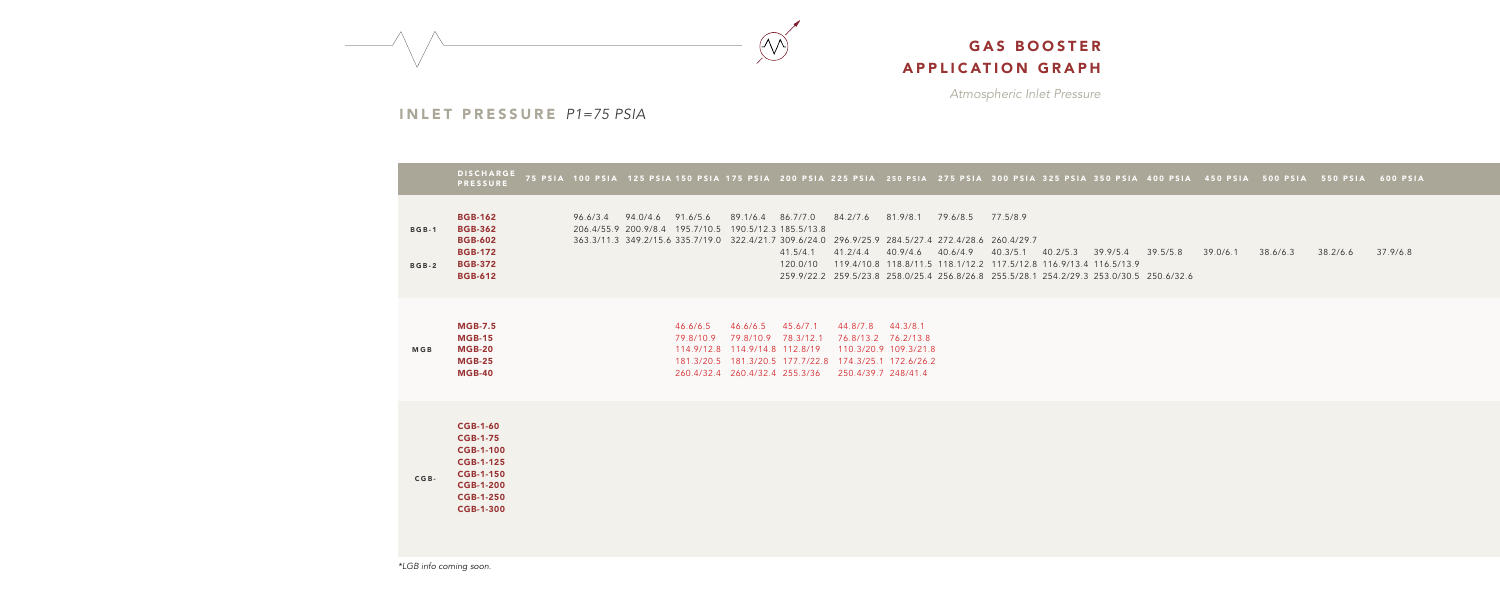*Atmospheric Inlet Pressure*



#### INLET PRESSURE *P1=75 PSIA*

|                              | <b>DISCHARGE</b><br><b>PRESSURE</b>                                                                                                                        | 75 PSIA 100 PSIA 125 PSIA 150 PSIA 175 PSIA 200 PSIA 225 PS |                                                                                                                                                                        |                                                           |                                            |
|------------------------------|------------------------------------------------------------------------------------------------------------------------------------------------------------|-------------------------------------------------------------|------------------------------------------------------------------------------------------------------------------------------------------------------------------------|-----------------------------------------------------------|--------------------------------------------|
| <b>BGB-1</b><br><b>BGB-2</b> | <b>BGB-162</b><br><b>BGB-362</b><br><b>BGB-602</b><br><b>BGB-172</b><br><b>BGB-372</b><br><b>BGB-612</b>                                                   |                                                             | 96.6/3.4 94.0/4.6 91.6/5.6 89.1/6.4 86.7/7.0<br>206.4/55.9 200.9/8.4 195.7/10.5 190.5/12.3 185.5/13.8<br>363.3/11.3 349.2/15.6 335.7/19.0 322.4/21.7 309.6/24.0 296.9/ | 41.5/4.1<br>120.0/10<br>259.9/22.2 259.5/                 | 84.2/7<br>41.2/4<br>119.4/                 |
| <b>MGB</b>                   | <b>MGB-7.5</b><br><b>MGB-15</b><br><b>MGB-20</b><br><b>MGB-25</b><br><b>MGB-40</b>                                                                         |                                                             | 46.6/6.5 46.6/6.5 45.6/7.1<br>79.8/10.9<br>114.9/12.8 114.9/14.8 112.8/19<br>260.4/32.4 260.4/32.4 255.3/36                                                            | 79.8/10.9 78.3/12.1<br>181.3/20.5  181.3/20.5  177.7/22.8 | 44.8/7<br>76.8/<br>110.3<br>174.3<br>250.4 |
| $CGB -$                      | <b>CGB-1-60</b><br><b>CGB-1-75</b><br><b>CGB-1-100</b><br><b>CGB-1-125</b><br><b>CGB-1-150</b><br><b>CGB-1-200</b><br><b>CGB-1-250</b><br><b>CGB-1-300</b> |                                                             |                                                                                                                                                                        |                                                           |                                            |

44.8/7.8 44.3/8.1 76.8/13.2 76.2/13.8 110.3/20.9 109.3/21.8 174.3/25.1 172.6/26.2 250.4/39.7 248/41.4

75 PSIA 100 PSIA 125 PSIA 150 PSIA 175 PSIA 200 PSIA 225 PSIA 250 PSIA 275 PSIA 300 PSIA 325 PSIA 350 PSIA 400 PSIA 450 PSIA 500 PSIA 550 PSIA 600 PSIA

*\*LGB info coming soon.*

84.2/7.6 81.9/8.1 79.6/8.5 77.5/8.9 296.9/25.9 284.5/27.4 272.4/28.6 260.4/29.7 41.2/4.4 40.9/4.6 40.6/4.9 40.3/5.1 40.2/5.3 39.9/5.4 39.5/5.8 39.0/6.1 38.6/6.3 38.2/6.6 37.9/6.8119.4/10.8 118.8/11.5 118.1/12.2 117.5/12.8 116.9/13.4 116.5/13.9 259.5/23.8 258.0/25.4 256.8/26.8 255.5/28.1 254.2/29.3 253.0/30.5 250.6/32.6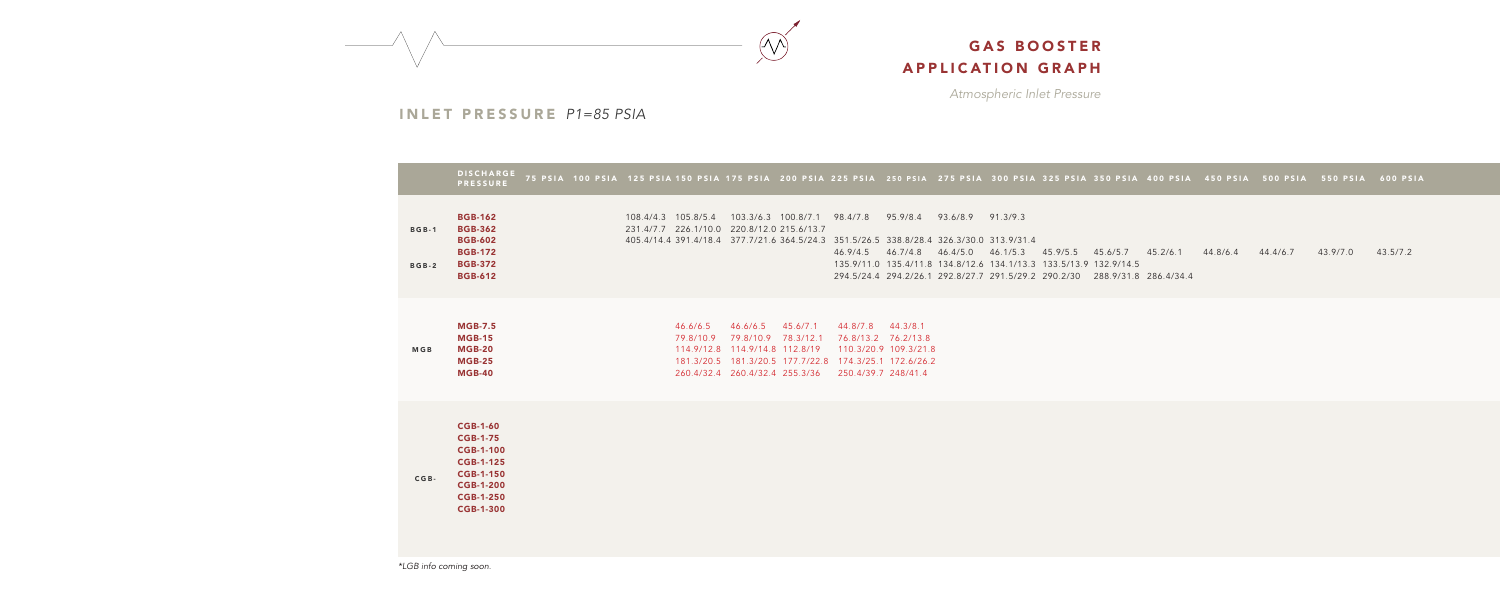*Atmospheric Inlet Pressure*



INLET PRESSURE *P1=85 PSIA*

|                              | <b>DISCHARGE</b><br><b>PRESSURE</b>                                                                                                                        |  |  | 75 PSIA 100 PSIA 125 PSIA 150 PSIA 175 PSIA 200 PSIA 225 PS                                                                                                   |           |                                                    |
|------------------------------|------------------------------------------------------------------------------------------------------------------------------------------------------------|--|--|---------------------------------------------------------------------------------------------------------------------------------------------------------------|-----------|----------------------------------------------------|
| <b>BGB-1</b><br><b>BGB-2</b> | <b>BGB-162</b><br><b>BGB-362</b><br><b>BGB-602</b><br><b>BGB-172</b><br><b>BGB-372</b><br><b>BGB-612</b>                                                   |  |  | 108.4/4.3 105.8/5.4 103.3/6.3 100.8/7.1<br>231.4/7.7 226.1/10.0 220.8/12.0 215.6/13.7<br>405.4/14.4 391.4/18.4 377.7/21.6 364.5/24.3                          |           | 98.4/7.<br>351.5/3<br>46.9/4.<br>135.9/<br>294.5/2 |
| <b>MGB</b>                   | <b>MGB-7.5</b><br><b>MGB-15</b><br><b>MGB-20</b><br><b>MGB-25</b><br><b>MGB-40</b>                                                                         |  |  | 46.6/6.5 46.6/6.5 45.6/7.1<br>79.8/10.9 79.8/10.9<br>114.9/12.8  114.9/14.8  112.8/19<br>181.3/20.5  181.3/20.5  177.7/22.8<br>260.4/32.4 260.4/32.4 255.3/36 | 78.3/12.1 | 44.8/7<br>76.8/1<br>110.3<br>174.3<br>250.4        |
| $CGB -$                      | <b>CGB-1-60</b><br><b>CGB-1-75</b><br><b>CGB-1-100</b><br><b>CGB-1-125</b><br><b>CGB-1-150</b><br><b>CGB-1-200</b><br><b>CGB-1-250</b><br><b>CGB-1-300</b> |  |  |                                                                                                                                                               |           |                                                    |

44.8/7.8 44.3/8.1 76.8/13.2 76.2/13.8 110.3/20.9 109.3/21.8 174.3/25.1 172.6/26.2 250.4/39.7 248/41.4

75 PSIA 100 PSIA 125 PSIA 150 PSIA 175 PSIA 200 PSIA 225 PSIA 250 PSIA 275 PSIA 300 PSIA 325 PSIA 350 PSIA 400 PSIA 450 PSIA 500 PSIA 550 PSIA 600 PSIA

*\*LGB info coming soon.*

98.4/7.8 95.9/8.4 93.6/8.9 91.3/9.3 351.5/26.5 338.8/28.4 326.3/30.0 313.9/31.4 46.9/4.5 46.7/4.8 46.4/5.0 46.1/5.3 45.9/5.5 45.6/5.7 45.2/6.1 44.8/6.4 44.4/6.7 43.9/7.0 43.5/7.2 135.9/11.0 135.4/11.8 134.8/12.6 134.1/13.3 133.5/13.9 132.9/14.5 294.5/24.4 294.2/26.1 290.2/30 288.9/31.8 286.4/34.4 292.8/27.7 291.5/29.2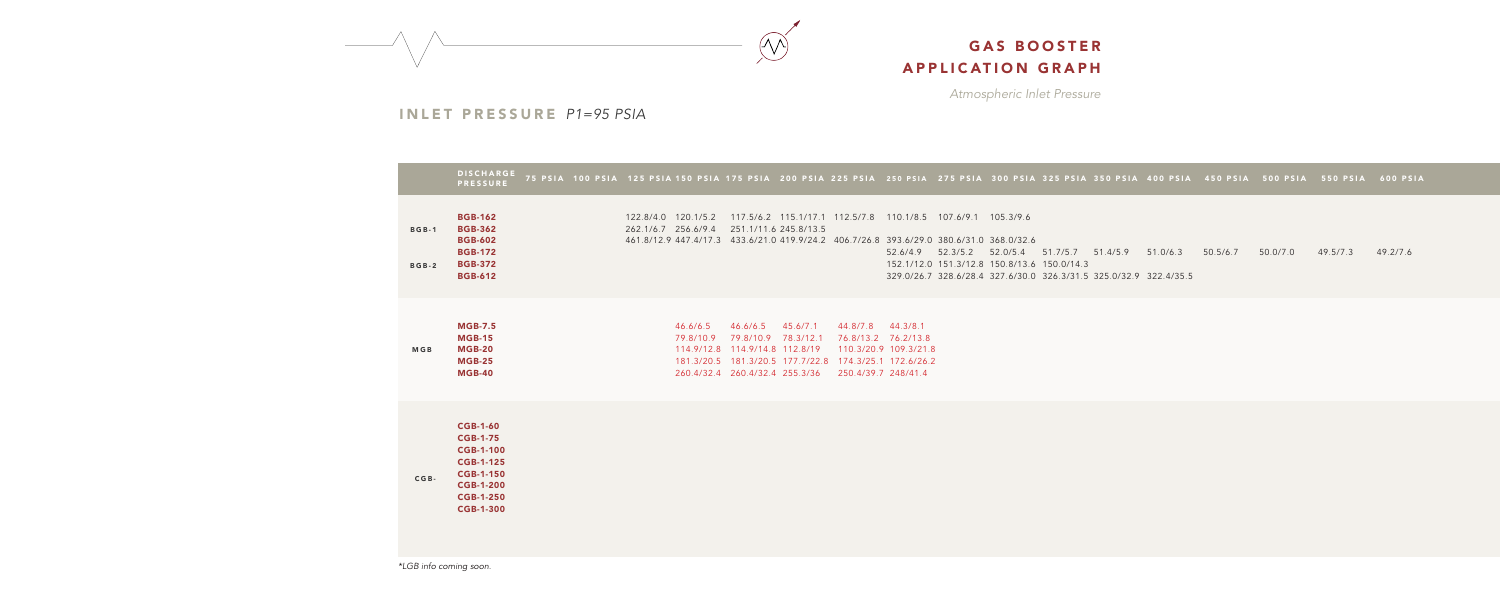*Atmospheric Inlet Pressure*



#### INLET PRESSURE *P1=95 PSIA*

|                              | <b>DISCHARGE</b><br><b>PRESSURE</b>                                                                                                                        |  |                                            | 75 PSIA 100 PSIA 125 PSIA 150 PSIA 175 PSIA 200 PSIA 225 PS                                    |                                                      |                                            |
|------------------------------|------------------------------------------------------------------------------------------------------------------------------------------------------------|--|--------------------------------------------|------------------------------------------------------------------------------------------------|------------------------------------------------------|--------------------------------------------|
| <b>BGB-1</b><br><b>BGB-2</b> | <b>BGB-162</b><br><b>BGB-362</b><br><b>BGB-602</b><br><b>BGB-172</b><br><b>BGB-372</b><br><b>BGB-612</b>                                                   |  | 122.8/4.0 120.1/5.2<br>262.1/6.7 256.6/9.4 | 461.8/12.9 447.4/17.3 433.6/21.0 419.9/24.2 406.7/                                             | 117.5/6.2 115.1/17.1 112.5/<br>251.1/11.6 245.8/13.5 |                                            |
| <b>MGB</b>                   | <b>MGB-7.5</b><br><b>MGB-15</b><br><b>MGB-20</b><br><b>MGB-25</b><br><b>MGB-40</b>                                                                         |  | 79.8/10.9                                  | 46.6/6.5 46.6/6.5 45.6/7.1<br>114.9/12.8 114.9/14.8 112.8/19<br>260.4/32.4 260.4/32.4 255.3/36 | 79.8/10.9 78.3/12.1                                  | 44.8/7<br>76.8/<br>110.3<br>174.3<br>250.4 |
| $CGB -$                      | <b>CGB-1-60</b><br><b>CGB-1-75</b><br><b>CGB-1-100</b><br><b>CGB-1-125</b><br><b>CGB-1-150</b><br><b>CGB-1-200</b><br><b>CGB-1-250</b><br><b>CGB-1-300</b> |  |                                            |                                                                                                |                                                      |                                            |

44.8/7.8 44.3/8.1 76.8/13.2 76.2/13.8 110.3/20.9 109.3/21.8 174.3/25.1 172.6/26.2 250.4/39.7 248/41.4

75 PSIA 100 PSIA 125 PSIA 150 PSIA 175 PSIA 200 PSIA 225 PSIA 250 PSIA 275 PSIA 300 PSIA 325 PSIA 350 PSIA 400 PSIA 450 PSIA 500 PSIA 550 PSIA 600 PSIA

*\*LGB info coming soon.*

112.5/7.8 110.1/8.5 107.6/9.1 105.3/9.6

406.7/26.8 393.6/29.0 380.6/31.0 368.0/32.6 52.6/4.9 51.7/5.7 51.4/5.9 51.0/6.3 50.5/6.7 50.0/7.0 49.5/7.3 49.2/7.6 52.3/5.2 52.0/5.4 152.1/12.0 151.3/12.8 150.8/13.6 150.0/14.3 329.0/26.7 326.3/31.5 325.0/32.9 322.4/35.5 328.6/28.4 327.6/30.0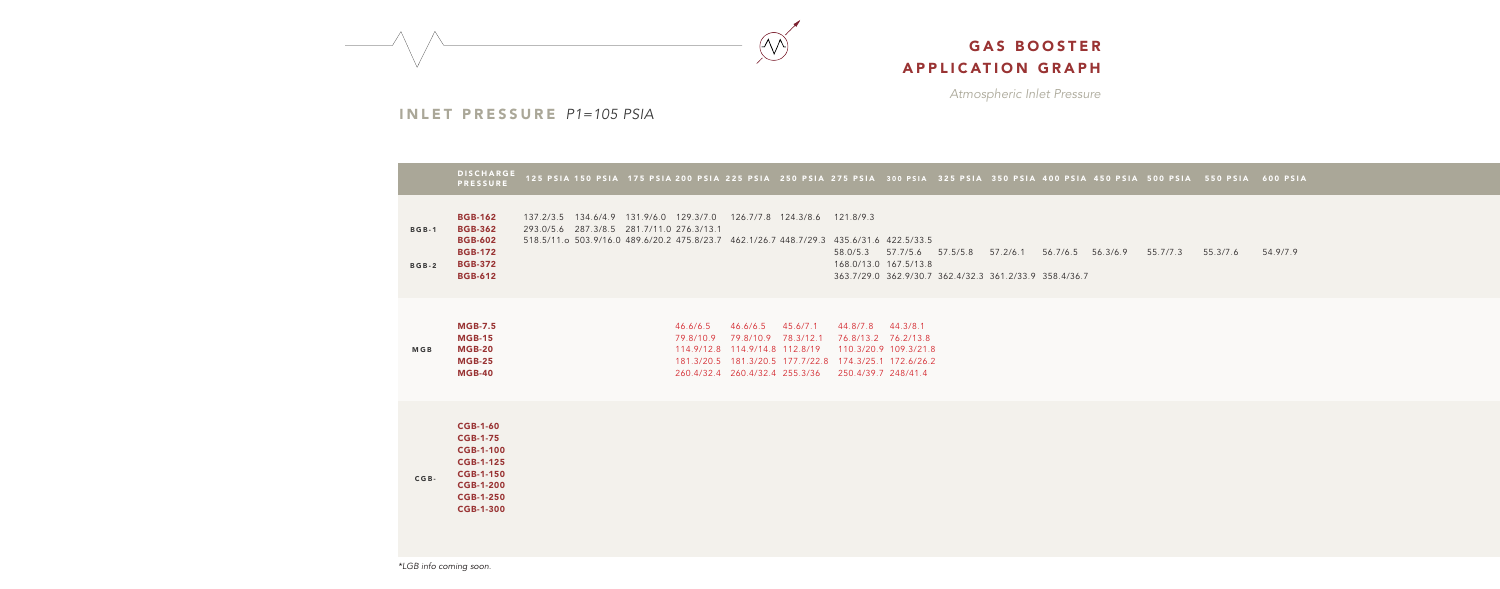*Atmospheric Inlet Pressure*



INLET PRESSURE *P1=105 PSIA*

121.8/9.3

|                              | <b>DISCHARGE</b><br><b>PRESSURE</b>                                                                                                                        |                                           |  |                         |                                                                                                                                  | 125 PSIA 150 PSIA 175 PSIA 200 PSIA 225 PSIA 250 PSIA 275 PS |                                                   |
|------------------------------|------------------------------------------------------------------------------------------------------------------------------------------------------------|-------------------------------------------|--|-------------------------|----------------------------------------------------------------------------------------------------------------------------------|--------------------------------------------------------------|---------------------------------------------------|
| <b>BGB-1</b><br><b>BGB-2</b> | <b>BGB-162</b><br><b>BGB-362</b><br><b>BGB-602</b><br><b>BGB-172</b><br><b>BGB-372</b><br><b>BGB-612</b>                                                   | 293.0/5.6 287.3/8.5 281.7/11.0 276.3/13.1 |  |                         | 137.2/3.5 134.6/4.9 131.9/6.0 129.3/7.0 126.7/7.8 124.3/8.6<br>518.5/11.o 503.9/16.0 489.6/20.2 475.8/23.7 462.1/26.7 448.7/29.3 |                                                              | 121.8/<br>435.6/3<br>58.0/5.<br>168.0/<br>363.7/2 |
| <b>MGB</b>                   | <b>MGB-7.5</b><br><b>MGB-15</b><br><b>MGB-20</b><br><b>MGB-25</b><br><b>MGB-40</b>                                                                         |                                           |  | 79.8/10.9<br>114.9/12.8 | 46.6/6.5 46.6/6.5 45.6/7.1<br>79.8/10.9<br>114.9/14.8 112.8/19<br>260.4/32.4 260.4/32.4 255.3/36                                 | 78.3/12.1                                                    | 44.8/7<br>76.8/1<br>110.3<br>174.3<br>250.4       |
| $CGB -$                      | <b>CGB-1-60</b><br><b>CGB-1-75</b><br><b>CGB-1-100</b><br><b>CGB-1-125</b><br><b>CGB-1-150</b><br><b>CGB-1-200</b><br><b>CGB-1-250</b><br><b>CGB-1-300</b> |                                           |  |                         |                                                                                                                                  |                                                              |                                                   |

44.8/7.8 44.3/8.1 76.8/13.2 76.2/13.8 110.3/20.9 109.3/21.8 174.3/25.1 172.6/26.2 250.4/39.7 248/41.4

125 PSIA 150 PSIA 175 PSIA 200 PSIA 225 PSIA 250 PSIA 275 PSIA 300 PSIA 325 PSIA 350 PSIA 400 PSIA 450 PSIA 500 PSIA 550 PSIA 600 PSIA

435.6/31.6 422.5/33.5 58.0/5.3 57.7/5.6 57.5/5.8 57.2/6.1 56.7/6.5 56.3/6.9 55.7/7.3 55.3/7.6 54.9/7.9 168.0/13.0 167.5/13.8 363.7/29.0 362.9/30.7 358.4/36.7 362.4/32.3 361.2/33.9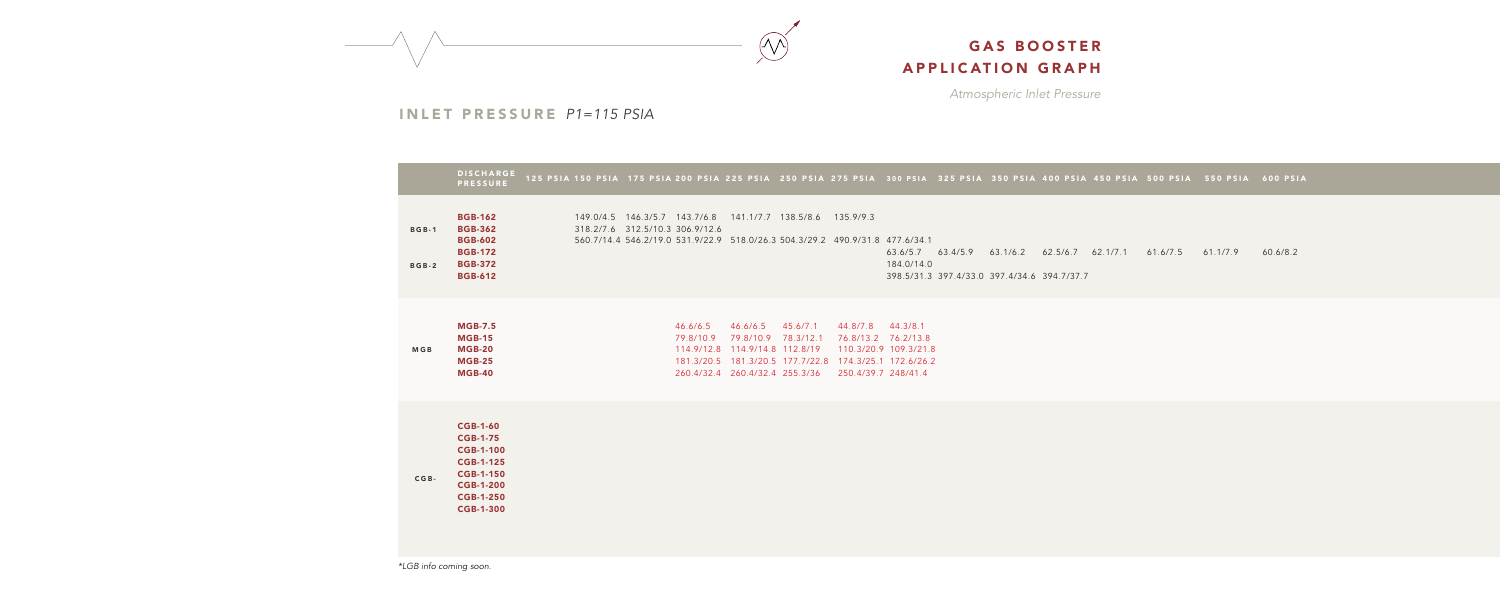*Atmospheric Inlet Pressure*



#### INLET PRESSURE *P1=115 PSIA*

|                              | <b>DISCHARGE</b><br><b>PRESSURE</b>                                                                                                                        |                                 |                                 |           | 125 PSIA 150 PSIA 175 PSIA 200 PSIA 225 PSIA 250 PSIA 275 P!                                   |                     |                                           |
|------------------------------|------------------------------------------------------------------------------------------------------------------------------------------------------------|---------------------------------|---------------------------------|-----------|------------------------------------------------------------------------------------------------|---------------------|-------------------------------------------|
| <b>BGB-1</b><br><b>BGB-2</b> | <b>BGB-162</b><br><b>BGB-362</b><br><b>BGB-602</b><br><b>BGB-172</b><br><b>BGB-372</b><br><b>BGB-612</b>                                                   | 149.0/4.5  146.3/5.7  143.7/6.8 | 318.2/7.6 312.5/10.3 306.9/12.6 |           | 141.1/7.7 138.5/8.6 135.9/<br>560.7/14.4 546.2/19.0 531.9/22.9 518.0/26.3 504.3/29.2 490.9/    |                     |                                           |
| <b>MGB</b>                   | <b>MGB-7.5</b><br><b>MGB-15</b><br><b>MGB-20</b><br><b>MGB-25</b><br><b>MGB-40</b>                                                                         |                                 |                                 | 79.8/10.9 | 46.6/6.5 46.6/6.5 45.6/7.1<br>114.9/12.8 114.9/14.8 112.8/19<br>260.4/32.4 260.4/32.4 255.3/36 | 79.8/10.9 78.3/12.1 | 44.8/<br>76.8/<br>110.3<br>174.3<br>250.4 |
| $CGB -$                      | <b>CGB-1-60</b><br><b>CGB-1-75</b><br><b>CGB-1-100</b><br><b>CGB-1-125</b><br><b>CGB-1-150</b><br><b>CGB-1-200</b><br><b>CGB-1-250</b><br><b>CGB-1-300</b> |                                 |                                 |           |                                                                                                |                     |                                           |

44.8/7.8 44.3/8.1 76.8/13.2 76.2/13.8 110.3/20.9 109.3/21.8 174.3/25.1 172.6/26.2 250.4/39.7 248/41.4

125 PSIA 150 PSIA 175 PSIA 200 PSIA 225 PSIA 250 PSIA 275 PSIA 300 PSIA 325 PSIA 350 PSIA 400 PSIA 450 PSIA 500 PSIA 550 PSIA 600 PSIA

 $1/9.3$ 

*\*LGB info coming soon.*

490.9/31.8 477.6/34.1 63.6/5.7 62.5/6.7 63.4/5.9 62.1/7.1 61.6/7.5 61.1/7.9 60.6/8.2 63.1/6.2 184.0/14.0 398.5/31.3 394.7/37.7 397.4/33.0 397.4/34.6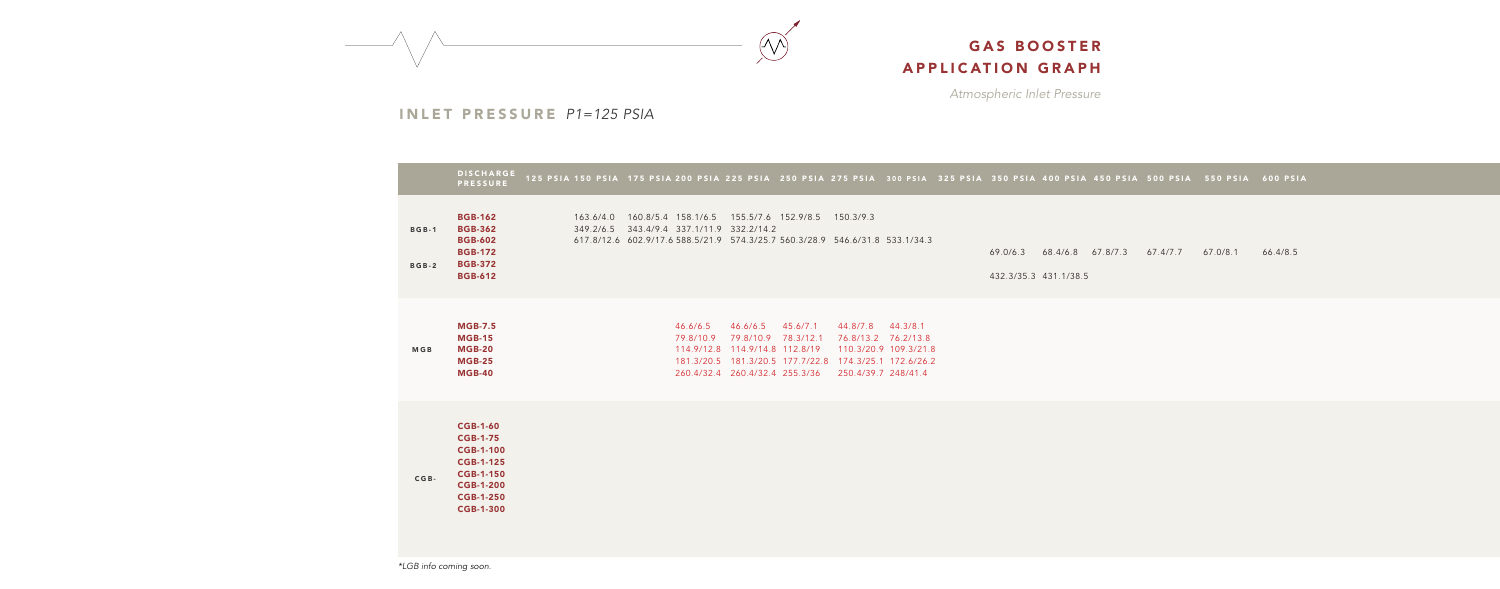*Atmospheric Inlet Pressure*



### INLET PRESSURE *P1=125 PSIA*

|                              | <b>DISCHARGE</b><br><b>PRESSURE</b>                                                                                                                        | 125 PSIA 150 PSIA 175 PSIA 200 PSIA 225 PSIA 250 PSIA 275 PSIA 300 PSIA 325 PSIA 350 PSIA 400 PSIA 450 PSIA 500 PSIA 550 PSIA 600 PSIA                                                        |                                                                                                                                                                                                                                              |                   |  |                       |                                     |          |          |
|------------------------------|------------------------------------------------------------------------------------------------------------------------------------------------------------|-----------------------------------------------------------------------------------------------------------------------------------------------------------------------------------------------|----------------------------------------------------------------------------------------------------------------------------------------------------------------------------------------------------------------------------------------------|-------------------|--|-----------------------|-------------------------------------|----------|----------|
| <b>BGB-1</b><br><b>BGB-2</b> | <b>BGB-162</b><br><b>BGB-362</b><br><b>BGB-602</b><br><b>BGB-172</b><br><b>BGB-372</b><br><b>BGB-612</b>                                                   | 163.6/4.0  160.8/5.4  158.1/6.5  155.5/7.6  152.9/8.5  150.3/9.3<br>349.2/6.5 343.4/9.4 337.1/11.9 332.2/14.2<br>617.8/12.6 602.9/17.6 588.5/21.9 574.3/25.7 560.3/28.9 546.6/31.8 533.1/34.3 |                                                                                                                                                                                                                                              |                   |  | 432.3/35.3 431.1/38.5 | 69.0/6.3 68.4/6.8 67.8/7.3 67.4/7.7 | 67.0/8.1 | 66.4/8.5 |
| <b>MGB</b>                   | <b>MGB-7.5</b><br><b>MGB-15</b><br><b>MGB-20</b><br><b>MGB-25</b><br><b>MGB-40</b>                                                                         | 46.6/6.5<br>79.8/10.9                                                                                                                                                                         | 46.6/6.5 45.6/7.1<br>79.8/10.9 78.3/12.1 76.8/13.2 76.2/13.8<br>114.9/12.8  114.9/14.8  112.8/19  110.3/20.9  109.3/21.8<br>181.3/20.5  181.3/20.5  177.7/22.8  174.3/25.1  172.6/26.2<br>260.4/32.4 260.4/32.4 255.3/36 250.4/39.7 248/41.4 | 44.8/7.8 44.3/8.1 |  |                       |                                     |          |          |
| $CGB -$                      | <b>CGB-1-60</b><br><b>CGB-1-75</b><br><b>CGB-1-100</b><br><b>CGB-1-125</b><br><b>CGB-1-150</b><br><b>CGB-1-200</b><br><b>CGB-1-250</b><br><b>CGB-1-300</b> |                                                                                                                                                                                               |                                                                                                                                                                                                                                              |                   |  |                       |                                     |          |          |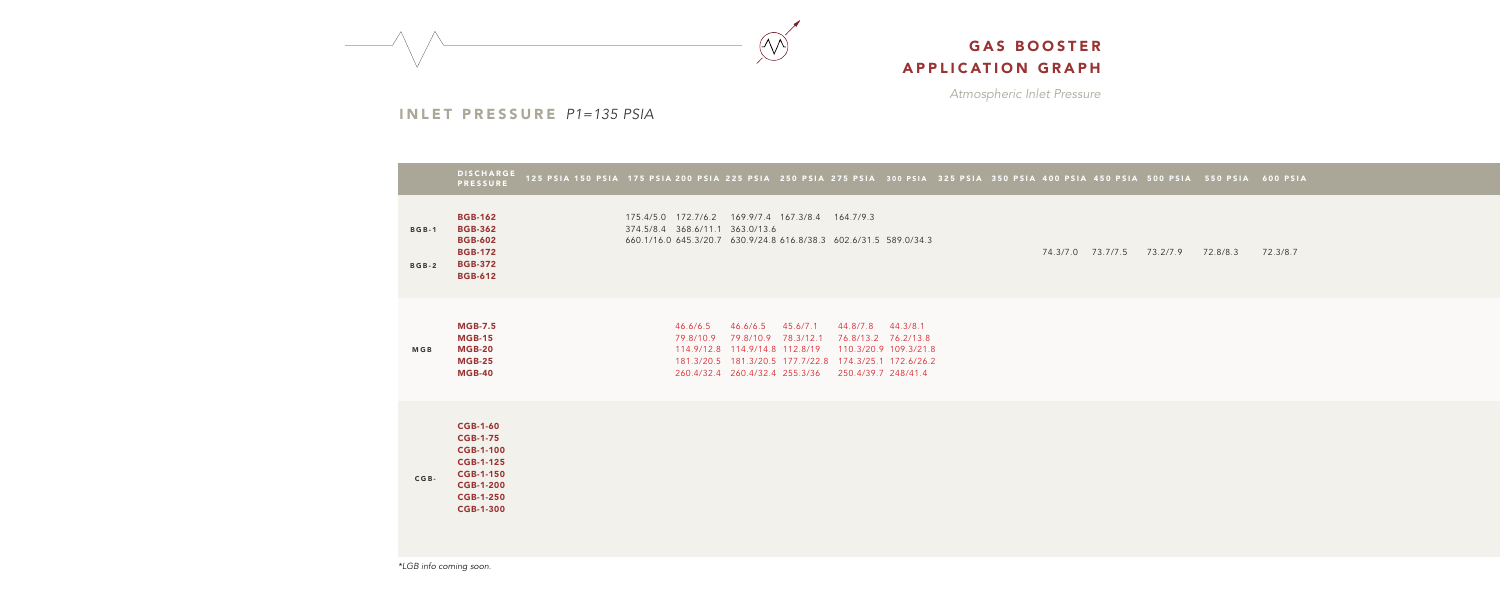*Atmospheric Inlet Pressure*



### INLET PRESSURE *P1=135 PSIA*

|                         | <b>DISCHARGE</b><br><b>PRESSURE</b>                                                                                                                        | 125 PSIA 150 PSIA 175 PSIA 200 PSIA 225 PSIA 250 PSIA 275 PSIA 300 PSIA 325 PSIA 350 PSIA 400 PSIA 450 PSIA 500 PSIA 550 PSIA 600 PSIA                    |                                                                              |                                                                        |                                            |                                            |  |                   |          |          |          |
|-------------------------|------------------------------------------------------------------------------------------------------------------------------------------------------------|-----------------------------------------------------------------------------------------------------------------------------------------------------------|------------------------------------------------------------------------------|------------------------------------------------------------------------|--------------------------------------------|--------------------------------------------|--|-------------------|----------|----------|----------|
| <b>BGB-1</b><br>$BGB-2$ | <b>BGB-162</b><br><b>BGB-362</b><br><b>BGB-602</b><br><b>BGB-172</b><br><b>BGB-372</b><br><b>BGB-612</b>                                                   | 175.4/5.0 172.7/6.2 169.9/7.4 167.3/8.4 164.7/9.3<br>374.5/8.4 368.6/11.1 363.0/13.6<br>660.1/16.0 645.3/20.7 630.9/24.8 616.8/38.3 602.6/31.5 589.0/34.3 |                                                                              |                                                                        |                                            |                                            |  | 74.3/7.0 73.7/7.5 | 73.2/7.9 | 72.8/8.3 | 72.3/8.7 |
| <b>MGB</b>              | <b>MGB-7.5</b><br><b>MGB-15</b><br><b>MGB-20</b><br><b>MGB-25</b><br><b>MGB-40</b>                                                                         | 46.6/6.5<br>79.8/10.9 79.8/10.9 78.3/12.1                                                                                                                 | 46.6/6.5<br>114.9/12.8 114.9/14.8 112.8/19<br>260.4/32.4 260.4/32.4 255.3/36 | 45.6/7.1<br>181.3/20.5  181.3/20.5  177.7/22.8  174.3/25.1  172.6/26.2 | 44.8/7.8 44.3/8.1<br>110.3/20.9 109.3/21.8 | 76.8/13.2 76.2/13.8<br>250.4/39.7 248/41.4 |  |                   |          |          |          |
| $CGB -$                 | <b>CGB-1-60</b><br><b>CGB-1-75</b><br><b>CGB-1-100</b><br><b>CGB-1-125</b><br><b>CGB-1-150</b><br><b>CGB-1-200</b><br><b>CGB-1-250</b><br><b>CGB-1-300</b> |                                                                                                                                                           |                                                                              |                                                                        |                                            |                                            |  |                   |          |          |          |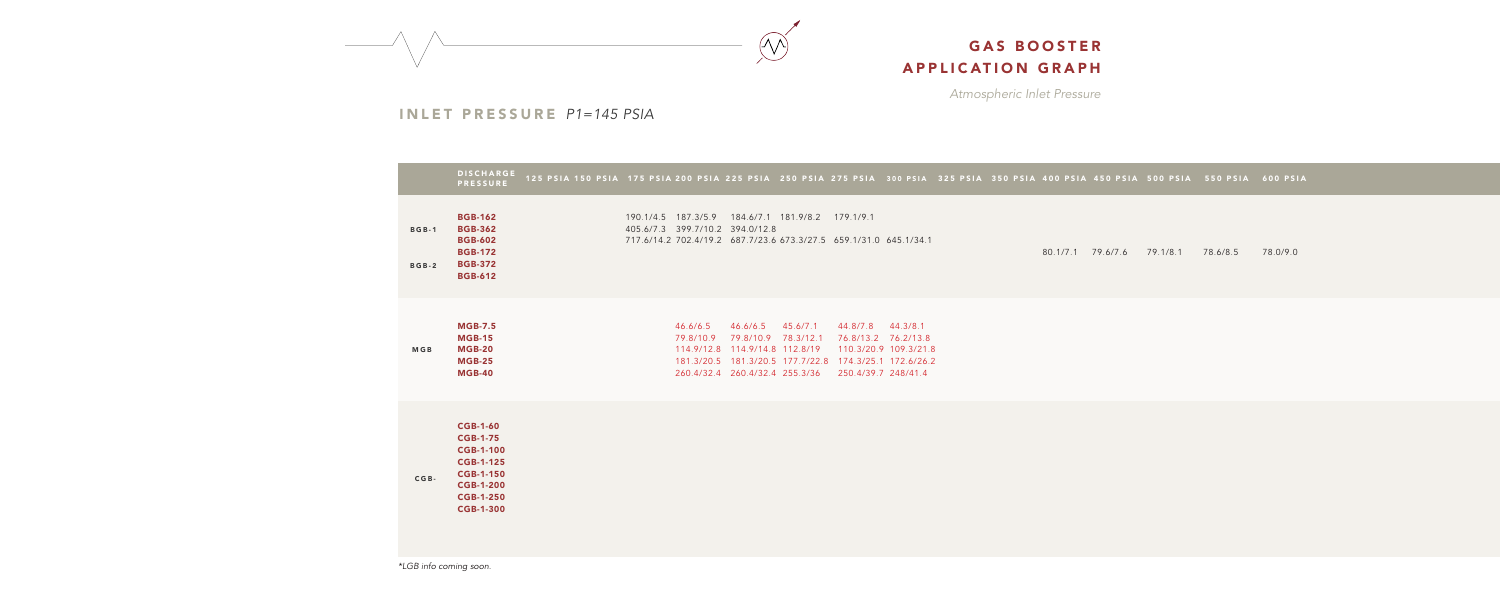*Atmospheric Inlet Pressure*



### INLET PRESSURE *P1=145 PSIA*

|                              | <b>DISCHARGE</b><br><b>PRESSURE</b>                                                                                                                        | 125 PSIA 150 PSIA 175 PSIA 200 PSIA 225 PSIA 250 PSIA 275 PSIA 300 PSIA 325 PSIA 350 PSIA 400 PSIA 450 PSIA 500 PSIA 550 PSIA 600 PSIA                                                                                                                                                   |
|------------------------------|------------------------------------------------------------------------------------------------------------------------------------------------------------|------------------------------------------------------------------------------------------------------------------------------------------------------------------------------------------------------------------------------------------------------------------------------------------|
| <b>BGB-1</b><br><b>BGB-2</b> | <b>BGB-162</b><br><b>BGB-362</b><br><b>BGB-602</b><br><b>BGB-172</b><br><b>BGB-372</b><br><b>BGB-612</b>                                                   | 190.1/4.5 187.3/5.9 184.6/7.1 181.9/8.2 179.1/9.1<br>405.6/7.3 399.7/10.2 394.0/12.8<br>717.6/14.2 702.4/19.2 687.7/23.6 673.3/27.5 659.1/31.0 645.1/34.1<br>80.1/7.1 79.6/7.6 79.1/8.1 78.6/8.5 78.0/9.0                                                                                |
| <b>MGB</b>                   | <b>MGB-7.5</b><br><b>MGB-15</b><br><b>MGB-20</b><br><b>MGB-25</b><br><b>MGB-40</b>                                                                         | 46.6/6.5 46.6/6.5 45.6/7.1<br>44.8/7.8 44.3/8.1<br>79.8/10.9 79.8/10.9 78.3/12.1<br>76.8/13.2 76.2/13.8<br>114.9/12.8  114.9/14.8  112.8/19<br>110.3/20.9 109.3/21.8<br>181.3/20.5  181.3/20.5  177.7/22.8  174.3/25.1  172.6/26.2<br>260.4/32.4 260.4/32.4 255.3/36 250.4/39.7 248/41.4 |
| $CGB -$                      | <b>CGB-1-60</b><br><b>CGB-1-75</b><br><b>CGB-1-100</b><br><b>CGB-1-125</b><br><b>CGB-1-150</b><br><b>CGB-1-200</b><br><b>CGB-1-250</b><br><b>CGB-1-300</b> |                                                                                                                                                                                                                                                                                          |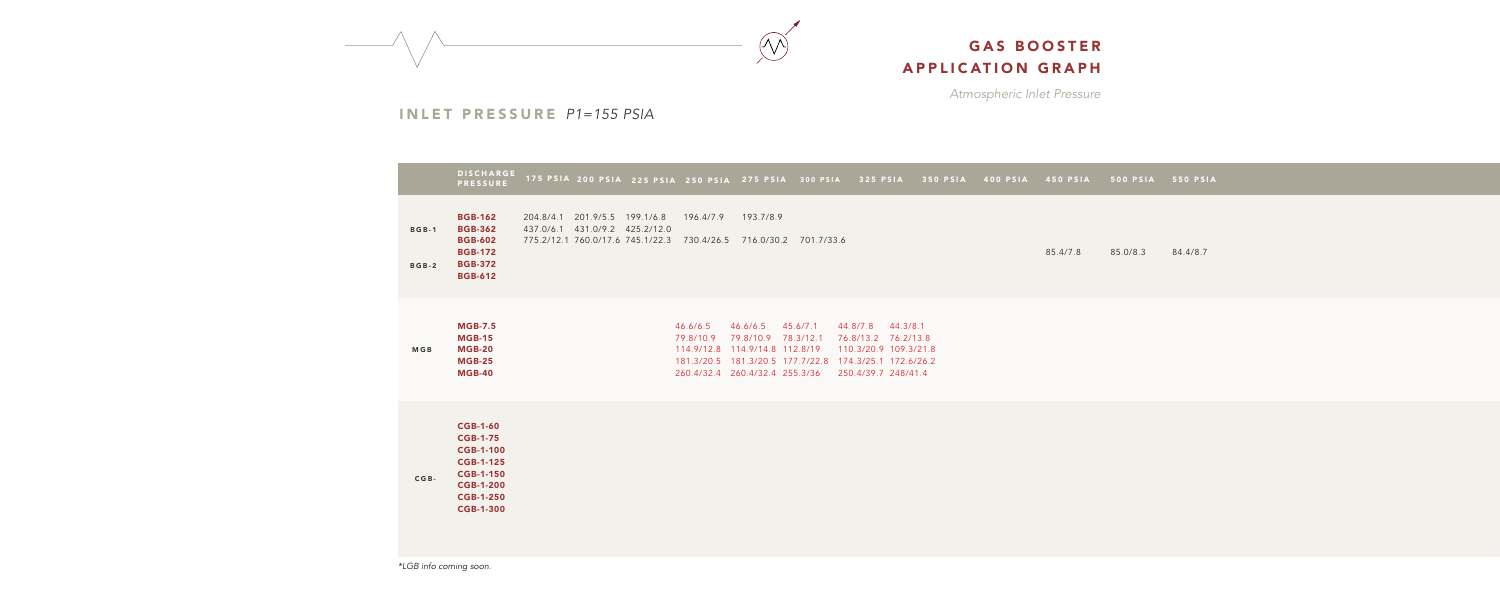*Atmospheric Inlet Pressure*



INLET PRESSURE *P1=155 PSIA*

|                              | <b>DISCHARGE</b><br><b>PRESSURE</b>                                                                                                                        | 175 PSIA 200 PSIA 225 PSIA 250 PSIA 275 PSIA 300 PSIA                                                                                |                       |                                                                                                     |          | 325 PSIA                                                                                                                                               | 350 PSIA | 400 PSIA | 450 PSIA | 500 PSIA | 550 PSIA |
|------------------------------|------------------------------------------------------------------------------------------------------------------------------------------------------------|--------------------------------------------------------------------------------------------------------------------------------------|-----------------------|-----------------------------------------------------------------------------------------------------|----------|--------------------------------------------------------------------------------------------------------------------------------------------------------|----------|----------|----------|----------|----------|
| <b>BGB-1</b><br><b>BGB-2</b> | <b>BGB-162</b><br><b>BGB-362</b><br><b>BGB-602</b><br><b>BGB-172</b><br><b>BGB-372</b><br><b>BGB-612</b>                                                   | 204.8/4.1 201.9/5.5 199.1/6.8<br>437.0/6.1 431.0/9.2 425.2/12.0<br>775.2/12.1 760.0/17.6 745.1/22.3 730.4/26.5 716.0/30.2 701.7/33.6 | 196.4/7.9             | 193.7/8.9                                                                                           |          |                                                                                                                                                        |          |          | 85.4/7.8 | 85.0/8.3 | 84.4/8.7 |
| <b>MGB</b>                   | <b>MGB-7.5</b><br><b>MGB-15</b><br><b>MGB-20</b><br><b>MGB-25</b><br><b>MGB-40</b>                                                                         |                                                                                                                                      | 46.6/6.5<br>79.8/10.9 | 46.6/6.5<br>79.8/10.9 78.3/12.1<br>114.9/12.8 114.9/14.8 112.8/19<br>260.4/32.4 260.4/32.4 255.3/36 | 45.6/7.1 | 44.8/7.8 44.3/8.1<br>76.8/13.2 76.2/13.8<br>110.3/20.9 109.3/21.8<br>181.3/20.5  181.3/20.5  177.7/22.8  174.3/25.1  172.6/26.2<br>250.4/39.7 248/41.4 |          |          |          |          |          |
| $CGB -$                      | <b>CGB-1-60</b><br><b>CGB-1-75</b><br><b>CGB-1-100</b><br><b>CGB-1-125</b><br><b>CGB-1-150</b><br><b>CGB-1-200</b><br><b>CGB-1-250</b><br><b>CGB-1-300</b> |                                                                                                                                      |                       |                                                                                                     |          |                                                                                                                                                        |          |          |          |          |          |

*\*LGB info coming soon.*